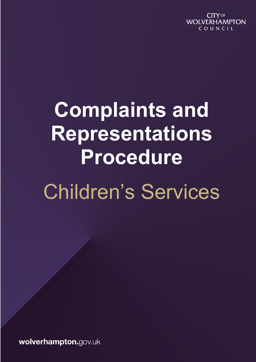**CITY OF WOLVERHAMPTON** COUNCIL

# **Complaints and Representations Procedure** Children's Services

wolverhampton.gov.uk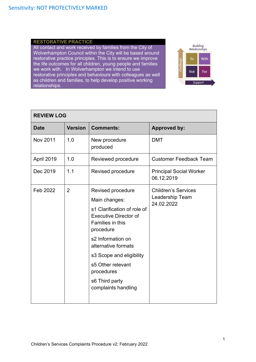### **RESTORATIVE PRACTICE**

All contact and work received by families from the City of Wolverhampton Council within the City will be based around restorative practice principles. This is to ensure we improve the life outcomes for all children, young people and families we work with. In Wolverhampton we intend to use restorative principles and behaviours with colleagues as well as children and families, to help develop positive working relationships.



| <b>REVIEW LOG</b> |                |                                                                                                                                                                                                                                                                                        |                                                             |  |  |
|-------------------|----------------|----------------------------------------------------------------------------------------------------------------------------------------------------------------------------------------------------------------------------------------------------------------------------------------|-------------------------------------------------------------|--|--|
| <b>Date</b>       | <b>Version</b> | <b>Comments:</b>                                                                                                                                                                                                                                                                       | <b>Approved by:</b>                                         |  |  |
| Nov 2011          | 1.0            | New procedure<br>produced                                                                                                                                                                                                                                                              | <b>DMT</b>                                                  |  |  |
| <b>April 2019</b> | 1.0            | Reviewed procedure                                                                                                                                                                                                                                                                     | <b>Customer Feedback Team</b>                               |  |  |
| Dec 2019          | 1.1            | Revised procedure                                                                                                                                                                                                                                                                      | <b>Principal Social Worker</b><br>06.12.2019                |  |  |
| Feb 2022          | $\overline{2}$ | Revised procedure<br>Main changes:<br>s1 Clarification of role of<br><b>Executive Director of</b><br>Families in this<br>procedure<br>s2 Information on<br>alternative formats<br>s3 Scope and eligibility<br>s5 Other relevant<br>procedures<br>s6 Third party<br>complaints handling | <b>Children's Services</b><br>Leadership Team<br>24.02.2022 |  |  |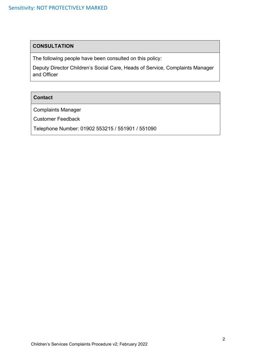# **CONSULTATION**

The following people have been consulted on this policy:

Deputy Director Children's Social Care, Heads of Service, Complaints Manager and Officer

# **Contact**

Complaints Manager

Customer Feedback

Telephone Number: 01902 553215 / 551901 / 551090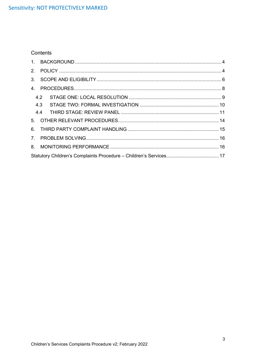# Contents

|     | 4.2 |  |  |  |  |
|-----|-----|--|--|--|--|
| 4.3 |     |  |  |  |  |
|     |     |  |  |  |  |
|     |     |  |  |  |  |
|     |     |  |  |  |  |
|     |     |  |  |  |  |
|     |     |  |  |  |  |
|     |     |  |  |  |  |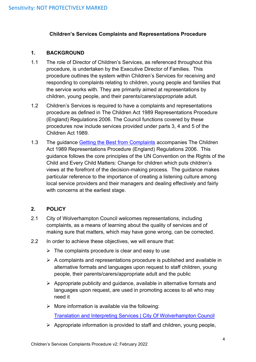# **Children's Services Complaints and Representations Procedure**

### <span id="page-4-0"></span>**1. BACKGROUND**

- 1.1 The role of Director of Children's Services, as referenced throughout this procedure, is undertaken by the Executive Director of Families. This procedure outlines the system within Children's Services for receiving and responding to complaints relating to children, young people and families that the service works with. They are primarily aimed at representations by children, young people, and their parents/carers/appropriate adult.
- 1.2 Children's Services is required to have a complaints and representations procedure as defined in The Children Act 1989 Representations Procedure (England) Regulations 2006. The Council functions covered by these procedures now include services provided under parts 3, 4 and 5 of the Children Act 1989.
- 1.3 The guidance [Getting the Best from Complaints](https://assets.publishing.service.gov.uk/government/uploads/system/uploads/attachment_data/file/273895/getting_the_best_from_complaints.pdf) accompanies The Children Act 1989 Representations Procedure (England) Regulations 2006. This guidance follows the core principles of the UN Convention on the Rights of the Child and Every Child Matters: Change for children which puts children's views at the forefront of the decision-making process. The guidance makes particular reference to the importance of creating a listening culture among local service providers and their managers and dealing effectively and fairly with concerns at the earliest stage.

# <span id="page-4-1"></span>**2. POLICY**

- 2.1 City of Wolverhampton Council welcomes representations, including complaints, as a means of learning about the quality of services and of making sure that matters, which may have gone wrong, can be corrected.
- 2.2 In order to achieve these objectives, we will ensure that:
	- $\triangleright$  The complaints procedure is clear and easy to use
	- $\triangleright$  A complaints and representations procedure is published and available in alternative formats and languages upon request to staff children, young people, their parents/carers/appropriate adult and the public
	- $\triangleright$  Appropriate publicity and guidance, available in alternative formats and languages upon request, are used in promoting access to all who may need it
	- $\triangleright$  More information is available via the following:

[Translation and Interpreting Services | City Of Wolverhampton Council](https://www.wolverhampton.gov.uk/your-council/equalities-and-diversity/translation-and-interpreting-services)

 $\triangleright$  Appropriate information is provided to staff and children, young people,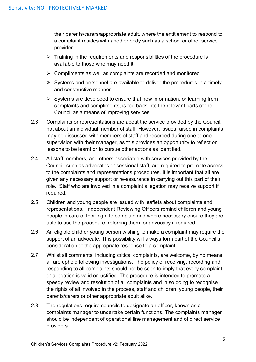their parents/carers/appropriate adult, where the entitlement to respond to a complaint resides with another body such as a school or other service provider

- $\triangleright$  Training in the requirements and responsibilities of the procedure is available to those who may need it
- ➢ Compliments as well as complaints are recorded and monitored
- $\triangleright$  Systems and personnel are available to deliver the procedures in a timely and constructive manner
- ➢ Systems are developed to ensure that new information, or learning from complaints and compliments, is fed back into the relevant parts of the Council as a means of improving services.
- 2.3 Complaints or representations are about the service provided by the Council, not about an individual member of staff. However, issues raised in complaints may be discussed with members of staff and recorded during one to one supervision with their manager, as this provides an opportunity to reflect on lessons to be learnt or to pursue other actions as identified.
- 2.4 All staff members, and others associated with services provided by the Council, such as advocates or sessional staff, are required to promote access to the complaints and representations procedures. It is important that all are given any necessary support or re-assurance in carrying out this part of their role. Staff who are involved in a complaint allegation may receive support if required.
- 2.5 Children and young people are issued with leaflets about complaints and representations. Independent Reviewing Officers remind children and young people in care of their right to complain and where necessary ensure they are able to use the procedure, referring them for advocacy if required.
- 2.6 An eligible child or young person wishing to make a complaint may require the support of an advocate. This possibility will always form part of the Council's consideration of the appropriate response to a complaint.
- 2.7 Whilst all comments, including critical complaints, are welcome, by no means all are upheld following investigations. The policy of receiving, recording and responding to all complaints should not be seen to imply that every complaint or allegation is valid or justified. The procedure is intended to promote a speedy review and resolution of all complaints and in so doing to recognise the rights of all involved in the process, staff and children, young people, their parents/carers or other appropriate adult alike.
- 2.8 The regulations require councils to designate an officer, known as a complaints manager to undertake certain functions. The complaints manager should be independent of operational line management and of direct service providers.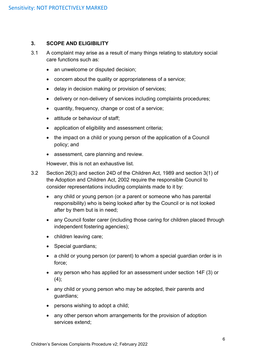### <span id="page-6-0"></span>**3. SCOPE AND ELIGIBILITY**

- 3.1 A complaint may arise as a result of many things relating to statutory social care functions such as:
	- an unwelcome or disputed decision;
	- concern about the quality or appropriateness of a service;
	- delay in decision making or provision of services;
	- delivery or non-delivery of services including complaints procedures;
	- quantity, frequency, change or cost of a service;
	- attitude or behaviour of staff;
	- application of eligibility and assessment criteria;
	- the impact on a child or young person of the application of a Council policy; and
	- assessment, care planning and review.

However, this is not an exhaustive list.

- 3.2 Section 26(3) and section 24D of the Children Act, 1989 and section 3(1) of the Adoption and Children Act, 2002 require the responsible Council to consider representations including complaints made to it by:
	- any child or young person (or a parent or someone who has parental responsibility) who is being looked after by the Council or is not looked after by them but is in need;
	- any Council foster carer (including those caring for children placed through independent fostering agencies);
	- children leaving care;
	- Special guardians;
	- a child or young person (or parent) to whom a special guardian order is in force;
	- any person who has applied for an assessment under section 14F (3) or  $(4);$
	- any child or young person who may be adopted, their parents and guardians;
	- persons wishing to adopt a child;
	- any other person whom arrangements for the provision of adoption services extend;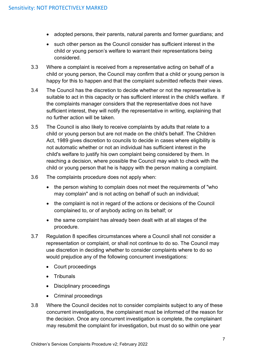- adopted persons, their parents, natural parents and former guardians; and
- such other person as the Council consider has sufficient interest in the child or young person's welfare to warrant their representations being considered.
- 3.3 Where a complaint is received from a representative acting on behalf of a child or young person, the Council may confirm that a child or young person is happy for this to happen and that the complaint submitted reflects their views.
- 3.4 The Council has the discretion to decide whether or not the representative is suitable to act in this capacity or has sufficient interest in the child's welfare. If the complaints manager considers that the representative does not have sufficient interest, they will notify the representative in writing, explaining that no further action will be taken.
- 3.5 The Council is also likely to receive complaints by adults that relate to a child or young person but are not made on the child's behalf. The Children Act, 1989 gives discretion to councils to decide in cases where eligibility is not automatic whether or not an individual has sufficient interest in the child's welfare to justify his own complaint being considered by them. In reaching a decision, where possible the Council may wish to check with the child or young person that he is happy with the person making a complaint.
- 3.6 The complaints procedure does not apply when:
	- the person wishing to complain does not meet the requirements of "who" may complain" and is not acting on behalf of such an individual;
	- the complaint is not in regard of the actions or decisions of the Council complained to, or of anybody acting on its behalf; or
	- the same complaint has already been dealt with at all stages of the procedure.
- 3.7 Regulation 8 specifies circumstances where a Council shall not consider a representation or complaint, or shall not continue to do so. The Council may use discretion in deciding whether to consider complaints where to do so would prejudice any of the following concurrent investigations:
	- Court proceedings
	- Tribunals
	- Disciplinary proceedings
	- Criminal proceedings
- 3.8 Where the Council decides not to consider complaints subject to any of these concurrent investigations, the complainant must be informed of the reason for the decision. Once any concurrent investigation is complete, the complainant may resubmit the complaint for investigation, but must do so within one year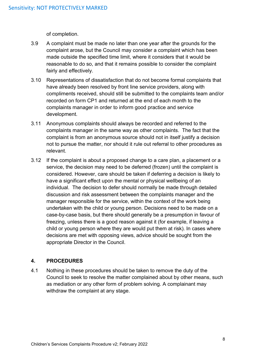of completion.

- 3.9 A complaint must be made no later than one year after the grounds for the complaint arose, but the Council may consider a complaint which has been made outside the specified time limit, where it considers that it would be reasonable to do so, and that it remains possible to consider the complaint fairly and effectively.
- 3.10 Representations of dissatisfaction that do not become formal complaints that have already been resolved by front line service providers, along with compliments received, should still be submitted to the complaints team and/or recorded on form CP1 and returned at the end of each month to the complaints manager in order to inform good practice and service development.
- 3.11 Anonymous complaints should always be recorded and referred to the complaints manager in the same way as other complaints. The fact that the complaint is from an anonymous source should not in itself justify a decision not to pursue the matter, nor should it rule out referral to other procedures as relevant.
- 3.12 If the complaint is about a proposed change to a care plan, a placement or a service, the decision may need to be deferred (frozen) until the complaint is considered. However, care should be taken if deferring a decision is likely to have a significant effect upon the mental or physical wellbeing of an individual. The decision to defer should normally be made through detailed discussion and risk assessment between the complaints manager and the manager responsible for the service, within the context of the work being undertaken with the child or young person. Decisions need to be made on a case-by-case basis, but there should generally be a presumption in favour of freezing, unless there is a good reason against it (for example, if leaving a child or young person where they are would put them at risk). In cases where decisions are met with opposing views, advice should be sought from the appropriate Director in the Council.

# <span id="page-8-0"></span>**4. PROCEDURES**

4.1 Nothing in these procedures should be taken to remove the duty of the Council to seek to resolve the matter complained about by other means, such as mediation or any other form of problem solving. A complainant may withdraw the complaint at any stage.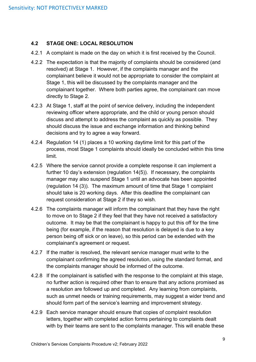# <span id="page-9-0"></span>**4.2 STAGE ONE: LOCAL RESOLUTION**

- 4.2.1 A complaint is made on the day on which it is first received by the Council.
- 4.2.2 The expectation is that the majority of complaints should be considered (and resolved) at Stage 1. However, if the complaints manager and the complainant believe it would not be appropriate to consider the complaint at Stage 1, this will be discussed by the complaints manager and the complainant together. Where both parties agree, the complainant can move directly to Stage 2.
- 4.2.3 At Stage 1, staff at the point of service delivery, including the independent reviewing officer where appropriate, and the child or young person should discuss and attempt to address the complaint as quickly as possible. They should discuss the issue and exchange information and thinking behind decisions and try to agree a way forward.
- 4.2.4 Regulation 14 (1) places a 10 working daytime limit for this part of the process, most Stage 1 complaints should ideally be concluded within this time limit.
- 4.2.5 Where the service cannot provide a complete response it can implement a further 10 day's extension (regulation 14(5)). If necessary, the complaints manager may also suspend Stage 1 until an advocate has been appointed (regulation 14 (3)). The maximum amount of time that Stage 1 complaint should take is 20 working days. After this deadline the complainant can request consideration at Stage 2 if they so wish.
- 4.2.6 The complaints manager will inform the complainant that they have the right to move on to Stage 2 if they feel that they have not received a satisfactory outcome. It may be that the complainant is happy to put this off for the time being (for example, if the reason that resolution is delayed is due to a key person being off sick or on leave), so this period can be extended with the complainant's agreement or request.
- 4.2.7 If the matter is resolved, the relevant service manager must write to the complainant confirming the agreed resolution, using the standard format, and the complaints manager should be informed of the outcome.
- 4.2.8 If the complainant is satisfied with the response to the complaint at this stage, no further action is required other than to ensure that any actions promised as a resolution are followed up and completed. Any learning from complaints, such as unmet needs or training requirements, may suggest a wider trend and should form part of the service's learning and improvement strategy.
- 4.2.9 Each service manager should ensure that copies of complaint resolution letters, together with completed action forms pertaining to complaints dealt with by their teams are sent to the complaints manager. This will enable these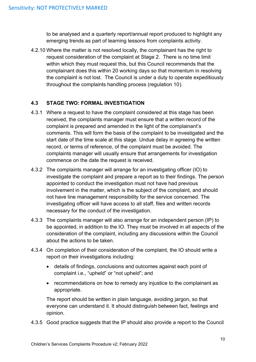to be analysed and a quarterly report/annual report produced to highlight any emerging trends as part of learning lessons from complaints activity.

4.2.10 Where the matter is not resolved locally, the complainant has the right to request consideration of the complaint at Stage 2. There is no time limit within which they must request this, but this Council recommends that the complainant does this within 20 working days so that momentum in resolving the complaint is not lost. The Council is under a duty to operate expeditiously throughout the complaints handling process (regulation 10).

# <span id="page-10-0"></span>**4.3 STAGE TWO: FORMAL INVESTIGATION**

- 4.3.1 Where a request to have the complaint considered at this stage has been received, the complaints manager must ensure that a written record of the complaint is prepared and amended in the light of the complainant's comments. This will form the basis of the complaint to be investigated and the start date of the time scale at this stage. Undue delay in agreeing the written record, or terms of reference, of the complaint must be avoided. The complaints manager will usually ensure that arrangements for investigation commence on the date the request is received.
- 4.3.2 The complaints manager will arrange for an investigating officer (IO) to investigate the complaint and prepare a report as to their findings. The person appointed to conduct the investigation must not have had previous involvement in the matter, which is the subject of the complaint, and should not have line management responsibility for the service concerned. The investigating officer will have access to all staff, files and written records necessary for the conduct of the investigation.
- 4.3.3 The complaints manager will also arrange for an independent person (IP) to be appointed, in addition to the IO. They must be involved in all aspects of the consideration of the complaint, including any discussions within the Council about the actions to be taken.
- 4.3.4 On completion of their consideration of the complaint, the IO should write a report on their investigations including:
	- details of findings, conclusions and outcomes against each point of complaint i.e., "upheld" or "not upheld"; and
	- recommendations on how to remedy any injustice to the complainant as appropriate.

The report should be written in plain language, avoiding jargon, so that everyone can understand it. It should distinguish between fact, feelings and opinion.

4.3.5 Good practice suggests that the IP should also provide a report to the Council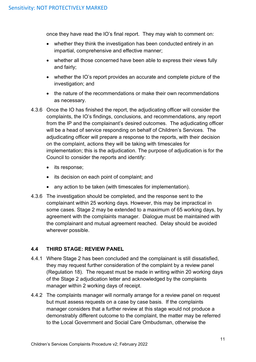once they have read the IO's final report. They may wish to comment on:

- whether they think the investigation has been conducted entirely in an impartial, comprehensive and effective manner;
- whether all those concerned have been able to express their views fully and fairly;
- whether the IO's report provides an accurate and complete picture of the investigation; and
- the nature of the recommendations or make their own recommendations as necessary.
- 4.3.6 Once the IO has finished the report, the adjudicating officer will consider the complaints, the IO's findings, conclusions, and recommendations, any report from the IP and the complainant's desired outcomes. The adjudicating officer will be a head of service responding on behalf of Children's Services. The adjudicating officer will prepare a response to the reports, with their decision on the complaint, actions they will be taking with timescales for implementation; this is the adjudication. The purpose of adjudication is for the Council to consider the reports and identify:
	- its response;
	- its decision on each point of complaint; and
	- any action to be taken (with timescales for implementation).
- 4.3.6 The investigation should be completed, and the response sent to the complainant within 25 working days. However, this may be impractical in some cases. Stage 2 may be extended to a maximum of 65 working days, by agreement with the complaints manager. Dialogue must be maintained with the complainant and mutual agreement reached. Delay should be avoided wherever possible.

# <span id="page-11-0"></span>**4.4 THIRD STAGE: REVIEW PANEL**

- 4.4.1 Where Stage 2 has been concluded and the complainant is still dissatisfied, they may request further consideration of the complaint by a review panel (Regulation 18). The request must be made in writing within 20 working days of the Stage 2 adjudication letter and acknowledged by the complaints manager within 2 working days of receipt.
- 4.4.2 The complaints manager will normally arrange for a review panel on request but must assess requests on a case by case basis. If the complaints manager considers that a further review at this stage would not produce a demonstrably different outcome to the complaint, the matter may be referred to the Local Government and Social Care Ombudsman, otherwise the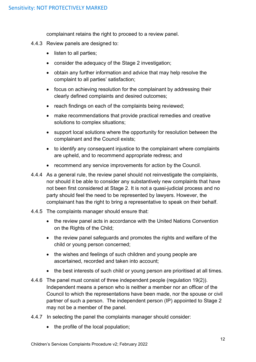complainant retains the right to proceed to a review panel.

- 4.4.3 Review panels are designed to:
	- listen to all parties;
	- consider the adequacy of the Stage 2 investigation;
	- obtain any further information and advice that may help resolve the complaint to all parties' satisfaction;
	- focus on achieving resolution for the complainant by addressing their clearly defined complaints and desired outcomes;
	- reach findings on each of the complaints being reviewed;
	- make recommendations that provide practical remedies and creative solutions to complex situations;
	- support local solutions where the opportunity for resolution between the complainant and the Council exists;
	- to identify any consequent injustice to the complainant where complaints are upheld, and to recommend appropriate redress; and
	- recommend any service improvements for action by the Council.
- 4.4.4 As a general rule, the review panel should not reinvestigate the complaints, nor should it be able to consider any substantively new complaints that have not been first considered at Stage 2. It is not a quasi-judicial process and no party should feel the need to be represented by lawyers. However, the complainant has the right to bring a representative to speak on their behalf.
- 4.4.5 The complaints manager should ensure that:
	- the review panel acts in accordance with the United Nations Convention on the Rights of the Child;
	- the review panel safeguards and promotes the rights and welfare of the child or young person concerned;
	- the wishes and feelings of such children and young people are ascertained, recorded and taken into account;
	- the best interests of such child or young person are prioritised at all times.
- 4.4.6 The panel must consist of three independent people (regulation 19(2)). Independent means a person who is neither a member nor an officer of the Council to which the representations have been made, nor the spouse or civil partner of such a person. The independent person (IP) appointed to Stage 2 may not be a member of the panel.
- 4.4.7 In selecting the panel the complaints manager should consider:
	- the profile of the local population;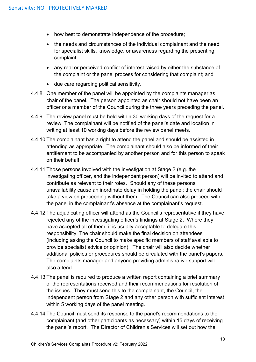- how best to demonstrate independence of the procedure;
- the needs and circumstances of the individual complainant and the need for specialist skills, knowledge, or awareness regarding the presenting complaint;
- any real or perceived conflict of interest raised by either the substance of the complaint or the panel process for considering that complaint; and
- due care regarding political sensitivity.
- 4.4.8 One member of the panel will be appointed by the complaints manager as chair of the panel.The person appointed as chair should not have been an officer or a member of the Council during the three years preceding the panel.
- 4.4.9 The review panel must be held within 30 working days of the request for a review. The complainant will be notified of the panel's date and location in writing at least 10 working days before the review panel meets.
- 4.4.10 The complainant has a right to attend the panel and should be assisted in attending as appropriate. The complainant should also be informed of their entitlement to be accompanied by another person and for this person to speak on their behalf.
- 4.4.11 Those persons involved with the investigation at Stage 2 (e.g. the investigating officer, and the independent person) will be invited to attend and contribute as relevant to their roles.Should any of these persons' unavailability cause an inordinate delay in holding the panel; the chair should take a view on proceeding without them. The Council can also proceed with the panel in the complainant's absence at the complainant's request.
- 4.4.12 The adjudicating officer will attend as the Council's representative if they have rejected any of the investigating officer's findings at Stage 2. Where they have accepted all of them, it is usually acceptable to delegate this responsibility. The chair should make the final decision on attendees (including asking the Council to make specific members of staff available to provide specialist advice or opinion). The chair will also decide whether additional policies or procedures should be circulated with the panel's papers. The complaints manager and anyone providing administrative support will also attend.
- 4.4.13 The panel is required to produce a written report containing a brief summary of the representations received and their recommendations for resolution of the issues. They must send this to the complainant, the Council, the independent person from Stage 2 and any other person with sufficient interest within 5 working days of the panel meeting.
- 4.4.14 The Council must send its response to the panel's recommendations to the complainant (and other participants as necessary) within 15 days of receiving the panel's report. The Director of Children's Services will set out how the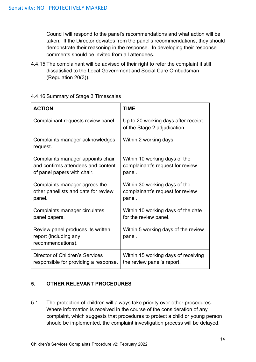Council will respond to the panel's recommendations and what action will be taken. If the Director deviates from the panel's recommendations, they should demonstrate their reasoning in the response. In developing their response comments should be invited from all attendees.

4.4.15 The complainant will be advised of their right to refer the complaint if still dissatisfied to the Local Government and Social Care Ombudsman (Regulation 20(3)).

| <b>ACTION</b>                                                                   | TIME                                                                |
|---------------------------------------------------------------------------------|---------------------------------------------------------------------|
| Complainant requests review panel.                                              | Up to 20 working days after receipt<br>of the Stage 2 adjudication. |
| Complaints manager acknowledges<br>request.                                     | Within 2 working days                                               |
| Complaints manager appoints chair                                               | Within 10 working days of the                                       |
| and confirms attendees and content                                              | complainant's request for review                                    |
| of panel papers with chair.                                                     | panel.                                                              |
| Complaints manager agrees the                                                   | Within 30 working days of the                                       |
| other panellists and date for review                                            | complainant's request for review                                    |
| panel.                                                                          | panel.                                                              |
| Complaints manager circulates                                                   | Within 10 working days of the date                                  |
| panel papers.                                                                   | for the review panel.                                               |
| Review panel produces its written<br>report (including any<br>recommendations). | Within 5 working days of the review<br>panel.                       |
| Director of Children's Services                                                 | Within 15 working days of receiving                                 |
| responsible for providing a response.                                           | the review panel's report.                                          |

# 4.4.16 Summary of Stage 3 Timescales

# <span id="page-14-0"></span>**5. OTHER RELEVANT PROCEDURES**

5.1 The protection of children will always take priority over other procedures. Where information is received in the course of the consideration of any complaint, which suggests that procedures to protect a child or young person should be implemented, the complaint investigation process will be delayed.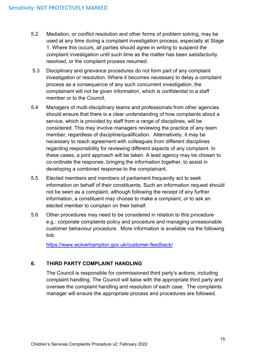- 5.2 Mediation, or conflict resolution and other forms of problem solving, may be used at any time during a complaint investigation process, especially at Stage 1. Where this occurs, all parties should agree in writing to suspend the complaint investigation until such time as the matter has been satisfactorily resolved, or the complaint process resumed.
- 5.3 Disciplinary and grievance procedures do not form part of any complaint investigation or resolution. Where it becomes necessary to delay a complaint process as a consequence of any such concurrent investigation, the complainant will not be given information, which is confidential to a staff member or to the Council.
- 5.4 Managers of multi-disciplinary teams and professionals from other agencies should ensure that there is a clear understanding of how complaints about a service, which is provided by staff from a range of disciplines, will be considered. This may involve managers reviewing the practice of any team member, regardless of discipline/qualification. Alternatively, it may be necessary to reach agreement with colleagues from different disciplines regarding responsibility for reviewing different aspects of any complaint. In these cases, a joint approach will be taken. A lead agency may be chosen to co-ordinate the response, bringing the information together, to assist in developing a combined response to the complainant.
- 5.5 Elected members and members of parliament frequently act to seek information on behalf of their constituents. Such an information request should not be seen as a complaint, although following the receipt of any further information, a constituent may choose to make a complaint, or to ask an elected member to complain on their behalf.
- 5.6 Other procedures may need to be considered in relation to this procedure e.g.: corporate complaints policy and procedure and managing unreasonable customer behaviour procedure. More information is available via the following link:

<https://www.wolverhampton.gov.uk/customer-feedback/>

# <span id="page-15-0"></span>**6. THIRD PARTY COMPLAINT HANDLING**

The Council is responsible for commissioned third party's actions, including complaint handling. The Council will liaise with the appropriate third party and oversee the complaint handling and resolution of each case. The complaints manager will ensure the appropriate process and procedures are followed.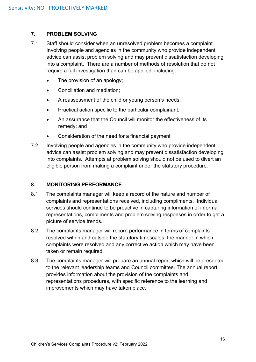# <span id="page-16-0"></span>**7. PROBLEM SOLVING**

- 7.1 Staff should consider when an unresolved problem becomes a complaint. Involving people and agencies in the community who provide independent advice can assist problem solving and may prevent dissatisfaction developing into a complaint. There are a number of methods of resolution that do not require a full investigation than can be applied, including:
	- The provision of an apology;
	- Conciliation and mediation;
	- A reassessment of the child or young person's needs;
	- Practical action specific to the particular complainant;
	- An assurance that the Council will monitor the effectiveness of its remedy; and
	- Consideration of the need for a financial payment
- 7.2 Involving people and agencies in the community who provide independent advice can assist problem solving and may prevent dissatisfaction developing into complaints. Attempts at problem solving should not be used to divert an eligible person from making a complaint under the statutory procedure.

# <span id="page-16-1"></span>**8. MONITORING PERFORMANCE**

- 8.1 The complaints manager will keep a record of the nature and number of complaints and representations received, including compliments. Individual services should continue to be proactive in capturing information of informal representations, compliments and problem solving responses in order to get a picture of service trends.
- 8.2 The complaints manager will record performance in terms of complaints resolved within and outside the statutory timescales, the manner in which complaints were resolved and any corrective action which may have been taken or remain required.
- 8.3 The complaints manager will prepare an annual report which will be presented to the relevant leadership teams and Council committee. The annual report provides information about the provision of the complaints and representations procedures, with specific reference to the learning and improvements which may have taken place.